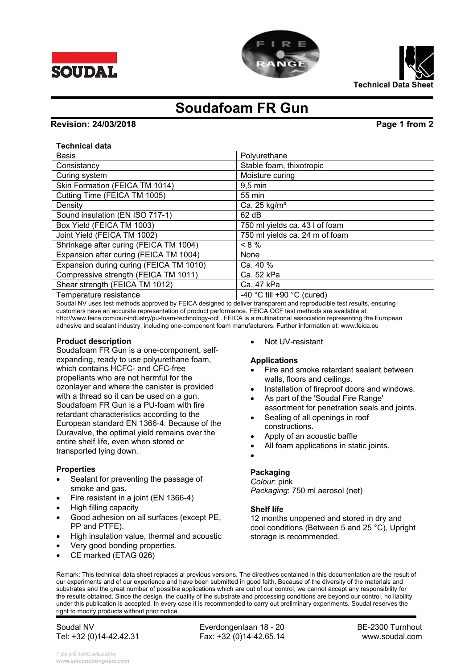| $\sqrt{3}$                                             |
|--------------------------------------------------------|
|                                                        |
| 5                                                      |
| 6 <sup>2</sup>                                         |
| 22                                                     |
| $4\overline{ }$<br>$\overline{)2}89$                   |
| 1)                                                     |
| $\overline{.2*}$<br>$/ +$                              |
| $\overline{.2*}$<br>$\sqrt{}$                          |
| $5 \& *$<br>$>$ $\frac{1}{2}$                          |
| $-0\%$ "4 5 & *<br>#                                   |
| 5 & 8<br>$/ * ?$<br>$\overline{\mathbf{4}}$            |
| $-0\%$ "4 5 & * & &<br>$\overline{\mathbf{4}}$<br>2) 3 |
| $\overline{4}$<br>$\frac{1}{2}$ ; 3                    |
| $(1^* \ 0.4)$<br>@ 46 *                                |
|                                                        |
| $0\%$ "4 :40<br>$(0\%$ " 4<br>$\%$<br>$\mathbf 0$      |
| D \$ (<br>#                                            |
| # #                                                    |
| $\mathbf 0$                                            |
| $\mathbf H$                                            |
| $F \t 0$<br>F.<br>$\mathsf E$                          |
|                                                        |
| E                                                      |
| \$!                                                    |
|                                                        |
| $;2*$                                                  |
| $3\%$ & )                                              |
| $-2$ $)2$ @ 4. D                                       |
|                                                        |
|                                                        |
|                                                        |
|                                                        |
|                                                        |
|                                                        |
| $\%$ ( ) + * *<br>$8'($ )*                             |
|                                                        |

 $\overline{1}$ 

T

Phân phối bởi/Distributed by:<br>www.siliconedongnam.com